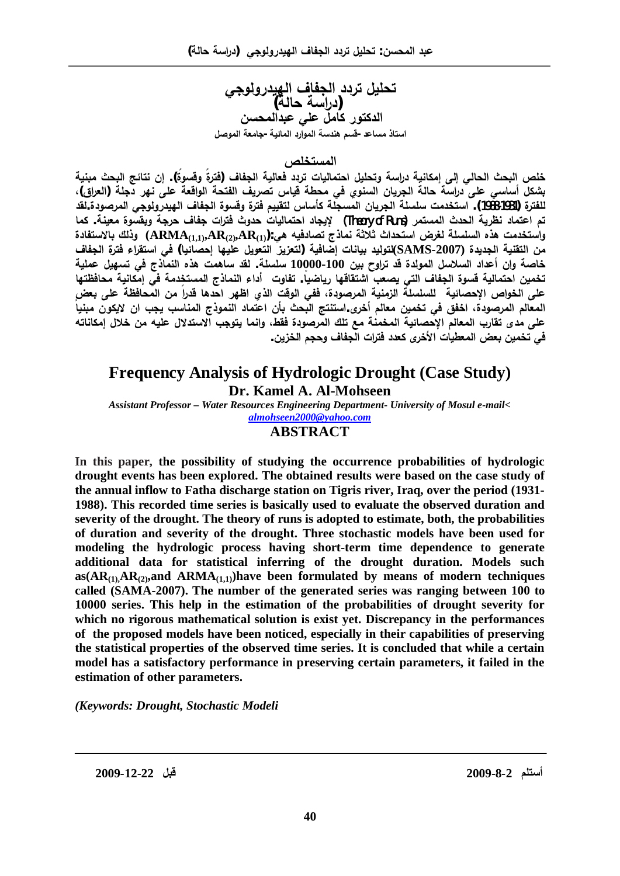تحليل تردد الجفاف ال<u>هي</u>درولوج*ي* **(درآسة حالة)** الدكتور كامل عل*ي* عبدالمحسن **¾ŮÂƆƃ¦ŗŶƆœŞ-ŗƒőœƆƃ¦®°¦ÂƆƃ¦ŗŪ®ƈƋ¿Ūſ-®ŵœŪƆ¯œřŪ¦**

#### المستخلص

خلص البحث الحالي إل*ى* إمكانية دراسة وتحليل احتماليات تردد فعالية الجفاف (فترةً وقسوةً). إن نتائج البحث مبنية بشكل أساسي على دراسة حالة الجريان السنوي في محطة قياس تصريف الفتحة الواقعة على نهر دجلة (العراق)، للفترة (1931-1988). استخدمت سلسلة الجريان المسجلة كأساس لتقييم فترة وقسوة الجفاف الهيدرولوجي المرصودة لقد تم اعتماد نظرية الحدث المستمر (Theory of Runs) لإيجاد احتماليات حدوث فترات جفاف حرجة وبقسوة معينة. كما **¨®œŽřŪƙœŕ½ƃ¯Â (ARMA(1,1),AR(2),AR(1)):ƑƋƊƒż®œŮř«¯œƆƈŗśƚśª¦®šřŪ¦µ°źƃŗƄŪƄŪƃ¦Ɖ¯Ƌ©Ɔ®ŤřŪ¦Â** هن التقنية الجديدة (2007-SAMS)لتوليد بيانات إضّافية (لتعزيز التّعويل عليها إحصائيا) ف*ي* استقراء فترة الجفاف خاصة وإن أعداد السلاسل المولدة قد تراوح بين 100-100<sub>0</sub>0 سلسلة. لقد ساهمت هذه النماذج ف*ي* تسهيل عملية تخمين احتمالية قسوة الجفاف الت*ي* يصعب اشتقاقها رياضياً. تفاوت أداء النماذج المستخِدمة ف*ي* إمكانية محافظتها على الخواص الإحصائية للسلسلة الزمنية المرصودة، ففي الوقت الذي اظهر احدها قدراً من المحافظة عل*ى* بعض المعالم المرصودة، اخفق في تخمين معالم أخرى استنتج البحث بأن اعتماد النموذج المناسب يجب ان لايكون مبنياً على مدى تقارب المعالم الإحصائية المخمنة مع تلك المرصودة فقط، وانما يتوجب الاستدلال عليه من خلال إمكاناته في تخمين بعض المعطيات الأخرى كعدد فترات الجفاف وحجم الخزين.

## **Frequency Analysis of Hydrologic Drought (Case Study) Dr. Kamel A. Al-Mohseen**

*Assistant Professor – Water Resources Engineering Department- University of Mosul e-mail< [almohseen2000@yahoo.com](mailto:almohseen2000:@yahoo.com)*

### **ABSTRACT**

**In this paper, the possibility of studying the occurrence probabilities of hydrologic drought events has been explored. The obtained results were based on the case study of the annual inflow to Fatha discharge station on Tigris river, Iraq, over the period (1931- 1988). This recorded time series is basically used to evaluate the observed duration and severity of the drought. The theory of runs is adopted to estimate, both, the probabilities of duration and severity of the drought. Three stochastic models have been used for modeling the hydrologic process having short-term time dependence to generate additional data for statistical inferring of the drought duration. Models such as(AR(1),AR(2),and ARMA(1,1))have been formulated by means of modern techniques called (SAMA-2007). The number of the generated series was ranging between 100 to 10000 series. This help in the estimation of the probabilities of drought severity for which no rigorous mathematical solution is exist yet. Discrepancy in the performances of the proposed models have been noticed, especially in their capabilities of preserving the statistical properties of the observed time series. It is concluded that while a certain model has a satisfactory performance in preserving certain parameters, it failed in the estimation of other parameters.**

*(Keywords: Drought, Stochastic Modeli*

**2009-12 -22 ϞΒϗ 2009 -8-2 ϢϠΘγ**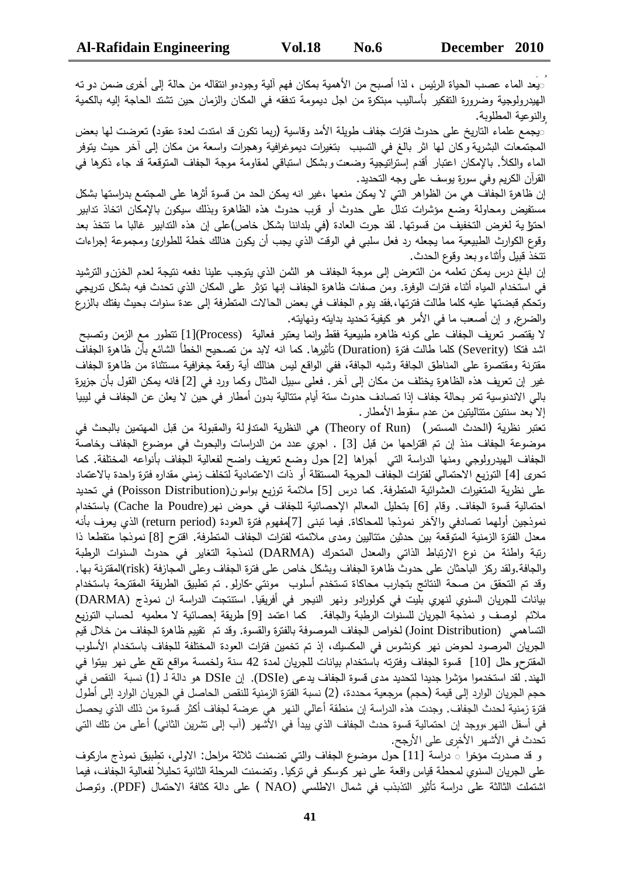جد الماء عصب الحياة الرئيس ، لذا أصبح من الأهمية بمكان فهم آلية وجودهو انتقاله من حالة إلى أخرى ضمن دو ته الهيدرولوجية وضرورة التفكير بأساليب مبتكرة من اجل ديمومة تدفقه في المكان والزمان حين تشتد الحاجة إليه بالكمية والنوعية المطلوبة.

يجمع علماء التاريخ على حدوث فترات جفاف طويلة الأمد وقاسية (ربما نكون قد امتدت لعدة عقود) تعرضت لها بعض المجتمعات البشرية وكان لمها اثر بالغ في التسبب بتغيرات ديموغرافية وهجرات واسعة من مكان إلى أخر حيث يتوفر الماء والكلأ. بالإمكان اعتبار أقدم إسترانيجية وضعت وبشكل استباقي لمقاومة موجة الجفاف المتوقعة قد جاء ذكرها في القرآن الكريم وفي سورة بوسف على وجه التحديد.

إن ظاهرة الجفاف هي من الظواهر التي لا يمكن منعها ،غير انه يمكن الحد من قسوة أثرها على المجتمع بدراستها بشكل مستفيض ومحاولة وضع مؤشرات تدلل على حدوث أو قرب حدوث هذه الظاهرة وبذلك سيكون بالإمكان اتخاذ تدابير احتزا ية لغرض التخفيف من قسوتها. لقد جرت العادة (في بلداننا بشكل خاص)على إن هذه التدابير غالبا ما نتخذ بعد وقوع الكوارث الطبيعية مما يجعله رد فعل سلبي في الوقت الذي يجب أن يكون هنالك خطة للطوارئ ومجموعة إجراءات نتخذ قبيل وأثناءو بعد وقوع الحدث.

إن ابلغ درس بمكن نعلمه من النعرض إلى موجة الجفاف هو الثمن الذي يتوجب علينا دفعه نتيجة لعدم الخزن والترشيد في استخدام المياه أثناء فترات الوفرة. ومن صفات ظاهرة الجفاف إنها نؤثر على المكان الذي تحدث فيه بشكل تدريجي وتحكم قبضتها عليه كلما طالت فترتها، فقد يبو مالجفاف في بعض الحالات المتطرفة إلى عدة سنوات بحيث يفتك بالزرع والضرع, و إن أصعب ما في الأمر هو كيفية تحديد بدايته ونـهايته.

لا يقتصر تعريف الجفاف على كونه ظاهره طبيعية فقط وإنما يعتبر فعالية (Process)[1] نتطور مع الزمن وتصبح اشد فتكا (Severity) كلما طالت فترة (Duration) تأثيرها. كما انه لابد من تصحيح الخطأ الشائع بأن ظاهرة الجفاف مقترنة ومقتصرة على المناطق الجافة وشبه الجافة، ففي الواقع ليس هنالك أية رقعة جغرافية مستثناة من ظاهرة الجفاف غير إن تعريف هذه الظاهرة يختلف من مكان إلى آخر . فعلى سبيل المثال وكما ورد في [2] فانه يمكن القول بأن جزيرة بالى الاندنوسية تمر بحالة جفاف إذا تصادف حدوث ستة أيام متتالية بدون أمطار في حين لا يعلن عن الجفاف في ليبيا إلا بعد سنتين متتاليتين من عدم سقوط الأمطار .

تعتبر نظرية (الحدث المستمر) (Theory of Run) هي النظرية المتدلولة والمقبولة من قبل المهتمين بالبحث في موضوعة الجفاف منذ إن تم اقتراحها من قبل [3] . اجري عدد من الدراسات والبحوث في موضوع الجفاف وخاصة الجفاف المهيدرولوجي ومنها الدراسة التي أجراها [2] حول وضع نعريف واضح لفعالية الجفاف بأنواعه المختلفة. كما تحرى [4] التوزيع الاحتمالي لفترات الجفاف الحرجة المستقلة أو ذات الاعتمادية لتخلف زمني مقداره فترة واحدة بالاعتماد على نظرية المتغيرات العشوائية المتطرفة. كما درس [5] ملائمة توزيع بواسون(Poisson Distribution) في تحديد احتمالية قسوة الجفاف. وقام [6] بتحليل المعالم الإحصائية للجفاف في حوض نهر(Cache la Poudre) باستخدام نموذجين أولهما تصادفي والآخر نموذجا للمحاكاة. فيما تبني [7]مفهوم فترة العودة (return period) الذي يعرف بأنه معدل الفترة الزمنية المتوقعة بين حدثين متتاليين ومدى ملائمته لفترات الجفاف المتطرفة. اقترح [8] نموذجا متقطعا ذا رنبة واطئة من نوع الارتباط الذاتي والمعدل المتحرك (DARMA) لنمذجة التغاير في حدوث السنوات الرطبة والجافة.ولقد ركز الباحثان على حدوث ظاهرة الجفاف وبشكل خاص على فترة الجفاف وعلى المجازفة (risk)المقترنة بـها . وقد تم التحقق من صحة النتائج بتجارب محاكاة تستخدم أسلوب مونتي-كارلو . تم تطبيق الطريقة المقترحة باستخدام بيانات للجريان السنوي لنهري بليت في كولورادو ونهر النيجر في أفريقيا. استتنجت الدراسة ان نموذج (DARMA) ملائم لوصف و نمذجة الجريان للسنوات الرطبة والجافة. كما اعتمد [9] طريقة إحصائية لا معلميه لحساب التوزيع التساهمي (Joint Distribution) لخواص الجفاف الموصوفة بالفترة والقسوة. وقد تم تقييم ظاهرة الجفاف من خلال قيم الجريان المرصود لحوض نهر كونشوس في المكسيك، إذ تم تخمين فترات العودة المختلفة للجفاف باستخدام الأسلوب المقترحو حلل [10] قسوة الجفاف وفترته باستخدام بيانات للجريان لمدة 42 سنة ولخمسة مواقع تقع على نهر بيتوا في الهند. لقد استخدموا مؤشرا جديدا لتحديد مدى قسوة الجفاف يدعى (DSIe). إن DSIe هو دالة لـ (1) نسبة النقص في حجم الجريان الوارد إلى قيمة (حجم) مرجعية محددة، (2) نسبة الفترة الزمنية للنقص الحاصل في الجريان الوارد إلى أطول فترة زمنية لحدث الجفاف. وجدت هذه الدراسة إن منطقة أعالى النهر هي عرضة لجفاف أكثر قسوة من ذلك الذي يحصل في أسفل النهر ،ووجد إن احتمالية قسوة حدث الجفاف الذي يبدأ في الأشهر (آب إلى تشرين الثاني) أعلى من نلك التي تحدث في الأشهر الأخرى على الأرجح.

و قد صدرت مؤخرا ○ دراسة [11] حول موضوع الجفاف والتي تضمنت ثلاثة مراحل: الاولى، تطبيق نموذج ماركوف على الجريان السنوي لمحطة قياس واقعة على نهر كوسكو في تركيا. وتضمنت المرحلة الثانية تحليلا لفعالية الجفاف، فيما اشتملت الثالثة على دراسة تأثير التذبذب في شمال الاطلسي (NAO ) على دالة كثافة الاحتمال (PDF). وتوصل

**41**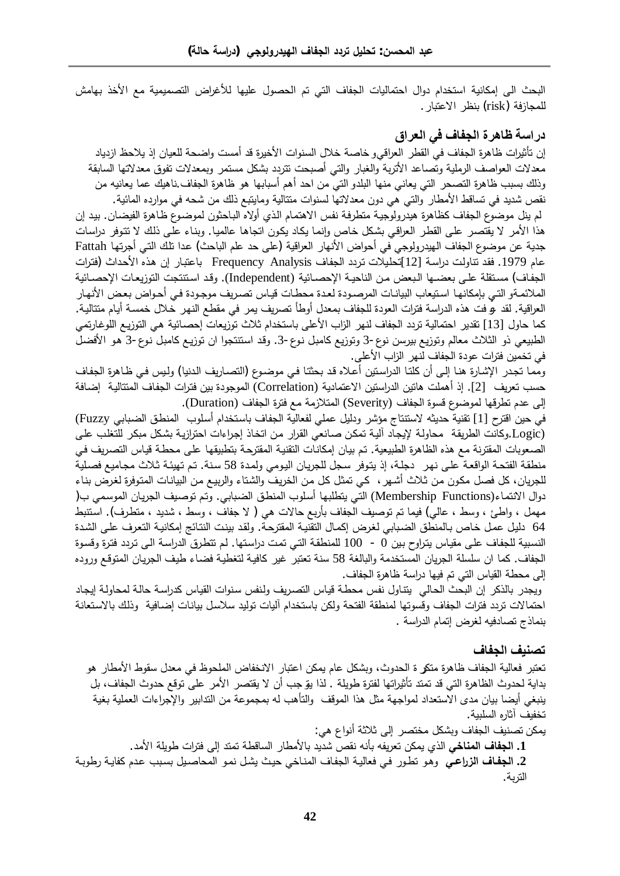البحث الى إمكانية استخدام دوال احتماليات الجفاف التي تم الحصول عليها للأغراض التصميمية مع الأخذ بهامش للمجازفة (risk) بنظر الاعتبار .

### در اسة **ظاهرة الجفاف ف***ي* **العراق**

إن تأثيرات ظاهرة الجفاف في القطر العراقي9 خاصة خلال السنوات الأخيرة قد أمست واضحة للعيان إذ يلاحظ ازدياد معدلات العواصف الرملية وتُصاعد الأتربة والغبار والتي أصبحت نتردد بشكل مستمر وبمعدلات نفوق معدلاتها السابقة وذلك بسبب ظاهرة النصحر النتي يعاني منها البلدو النتي من احد أهم أسبابها هو ظاهرة الجفاف ناهيك عما يعانيه من نقص شديد في تساقط الأمطار والتي هي دون معدلاتها لسنوات منتالية ومايتبع ذلك من شحه في موارده المائية. لم ينل موضوع الجفاف كظاهرة هيدرولوجية منطرفة نفس الاهتمام الذي أولاه الباحثون لموضوع ظاهرة الفيضان. بيد إن هذا الأمر لا يقتصـر علـي القطـر الـعراقـي بشكل خـاص وإنمـا يكـاد يكون اتـجاهـا عالميـا. وبنـاء علـي ذلك لا تتوفر دراسـات جدية عن موضوع الجفاف الهيدرولوجي في أحواض الأنهار العراقية (على حد علم الباحث) عدا نلك التي أجرتها Fattah عام 1979. فقد تناولت دراسة [12]تحليلات تردد الجفاف Frequency Analysis باعتبار إن هذه الأحداث (فترات الجفاف) مستقلة على بعضـها البعض من الناحيـة الإحصـائية (Independent). وقد استتنجت التوزيعـات الإحصـائية الملائمـةو التي بإمكانها استيعاب البيانـات المرصـودة لعدة محطـات قيـاس تصـريف موجـودة فـي أحـواض بعض الأنهـار العراقية. لقد ـوفت هذه الدراسة فترات الـعودة للجفاف بمعدل أوطأ نصريف يمر في مقطع النـهر خـلال خمسة أيـام متتاليـة. كما حاول [13] تقدير احتمالية تزبد الجفاف لذهر الزاب الأعلى باستخدام ثلاث توزيعات إحصـائية هي التوزيـع اللوغارتمي الطبيعي ذو الثلاث معالم وتوزيع بيرسن نوع-3 وتوزيع كامبل نوع-3. وقد استتنجوا ان توزيع كامبل نوع-3 هو الأفضل في تخمين فترات عودة الجفاف لنهر الزاب الأعلى.

ومما تجدر الإشارة هنا إلى أن كلتا الدراستين أعلاه قد بحثتا في موضوع (التصاريف الدنيا) وليس في ظاهرة الجفاف حسب تعريف [2]. إذ أهملت هاتين الدراستين الاعتمادية (Correlation) الموجودة بين فترات الجفاف المتتالية إضافة إلى عدم تطرقها لموضوع قسوة الجفاف (Severity) المتلازمة مع فترة الجفاف (Duration).

في حين اقترح [1] تقنية حديثه لاستتتاج مؤشر ودليل عملي لفعالية الجفاف باستخدام أسلوب المنطق الضبابي Fuzzy) ن وكانت الطريقة محاولة لإيجاد آلية تمكن صـانعي القرار من اتخاذ إجراءات احترازية بشكل مبكر للتغلب علىLogic الصعوبات المقترنة مع هذه الظاهرة الطبيعية. تم بيان إمكانات النقنية المقترحة بتطبيقها على محطة قياس التصريف في منطقة الفتحة الواقعة على نهر دجلة، إذ يتوفر سجل للجريان اليومي ولمدة 58 سنة. تم تهيئة ثلاث مجاميع فصلية للجريان، كل فصل مكون من ثلاث أشهر ، كي تمثل كل من الخريف والشتاء والربيع من البيانات المتوفرة لغرض بناء دوال الانتماء(Membership Functions) التي يتطلبها أسلوب المنطق الضبابي. وتم توصيف الجريان الموسمي ب( مهمل ، وإطبئ ، وسط ، عالمي) فيما نم نوصيف الجفاف بأربع حالات هي ( لا جفاف ، وسط ، شديد ، منظرف). استتبط 64 دليل عمل خاص بالمنطق الضبابي لغرض إكمال التقنية المقترحة. ولقد بينت النتائج إمكانية التعرف على الشدة النسبية للجفاف على مقياس يتراوح بين 0 − 100 للمنطقة التي تمت دراستها. لم تتطرق الدراسة الي تردد فترة وقسوة الجفاف. كما ان سلسلة الجريان المستخدمة والبالغة 58 سنة نعتبر غير كافية لتغطية فضاء طيف الجريان المتوقع وروده إلى محطة القياس التي تم فيها دراسة ظاهرة الجفاف.

ويجدر بالذكر إن البحث الحالي ينتاول نفس محطـة قياس النصريف ولنفس سنوات القياس كدراسـة حالـة لمحاولـة إيجاد احتمالات نزدد فترات الجفاف وقسوتها لمنطقة الفتحة ولكن باستخدام آليات توليد سلاسل بيانات إضـافية وذلك بالاستعانة بنماذج تصادفيه لغرض إتمام الدراسة .

### تصنيف الجفاف

تعتبر فعالية الجفاف ظاهرة متكر ة الحدوث، وبشكل عام يمكن اعتبار الانخفاض الملحوظ في معدل سقوط الأمطار هو بداية لحدوث الظاهرة التي قد تمتد تأثيراتها لفترة طويلة . لذا يوّ جب أن لا يقتصر الأمر على توقع حدوث الجفاف، بل ينبغي أيضا بيان مدى الاستعداد لمواجهة مثل هذا الموقف والتأهب له بمجموعة من التدابير والإجراءات العملية بغية تخفيف آثاره السلبية.

يمكن تصنيف الجفاف وبشكل مختصر إلى ثلاثة أنواع هي: . الجفاف المناخي الذي يمكن تعريفه بأنه نقص شديد بالأمطار الساقطة تمتد إلى فترات طويلة الأمد . ř»ŗÃ·±ř»ƔŕſƄÀ¯»ŷ¨ŗ»Ŭŗ¿Ɣ»Űŕţƈƅ§Ã»ƈƊ¿»ŮƔ«»ƔţƓŦŕ»Ɗƈƅ§¼ŕ»ſŠƅ§ř»ƔƅŕŸžƓ»ž±Ã»·śÃ»ƍÃ **Ƒºŵ¦°±ƃ¦»œºŽŞƃ¦ .2** التربة.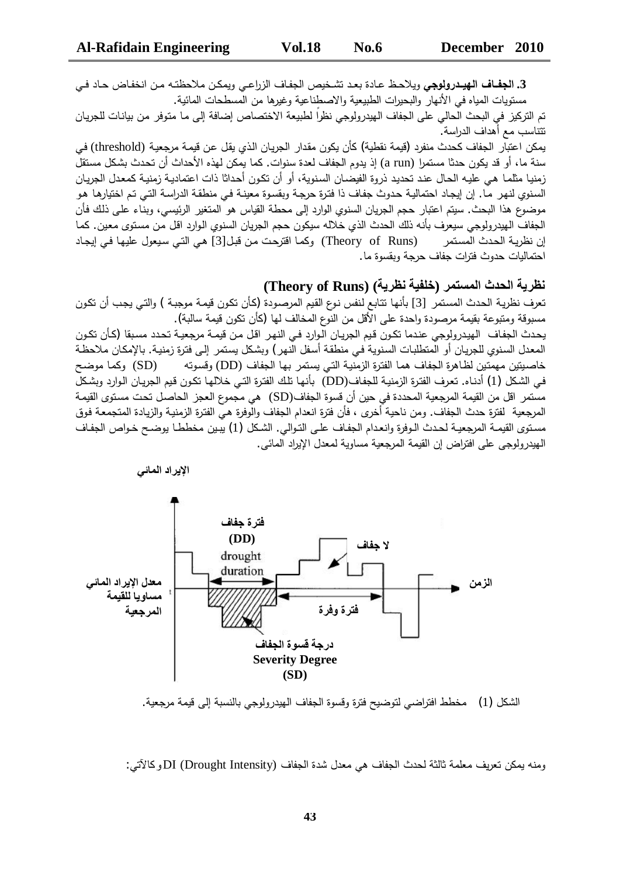3. الجفاف الهيدرولوجي ويلاحظ عادة بعد تشخيص الجفاف الزراعي ويمكن ملاحظته من انخفاض حاد في مستويات المباه في الأنهار والبحبرات الطبيعية والإصطناعية وغبرها من المسطحات المائية.

تم التركيز في البحث الحالي على الجفاف الهيدرولوجي نظراً لطبيعة الاختصاص إضافة إلى ما متوفر من بيانات للجريان تتناسب مع أهداف الدراسة.

يمكن اعتبار الجفاف كحدث منفرد (قيمة نقطية) كأن يكون مقدار الجريان الذي يقل عن قيمة مرجعية (threshold) في سنة ما، أو قد يكون حدثا مستمرا (a run) إذ يدوم الجفاف لعدة سنوات. كما يمكن لهذه الأحداث أن تحدث بشكل مستقل زمنيا مثلما هي عليه الحال عند تحديد ذروة الفيضـان السنوية، أو أن تكون أحداثا ذات اعتماديـة زمنيـة كمعدل الجريـان السنوي لنهر مـا. إن إيجاد احتمالية حدوث جفاف ذا فترة حرجة وبقسوة معينـة في منطقـة الدراسـة التي تـم اختيارهـا هو موضوع هذا البحث. سيتم اعتبار حجم الجريان السنوي الوارد إلى محطة القياس هو المتغير الرئيسي، وبناء على ذلك فأن الجفاف الهيدرولوجي سيعرف بأنه ذلك الحدث الذي خلاله سيكون حجم الجريان السنوي الوارد اقل من مستوى معين. كما إن نظرية الحدث المستمر (Theory of Runs) وكما اقترحت من قبل[3] هي التي سيعول عليها في إيجاد احتماليات حدوث فترات جفاف حرجة وبقسوة ما.

## **(Theory of Runs) (ΔϳήψϧΔϴϔϠΧ) ήϤΘδϤϟ ΙΪΤϟΔϳήψϧ**

تعرف نظرية الحدث المستمر [3] بأنها تتابع لنفس نوع القيم المرصودة (كأن تكون قيمة موجبة ) والتي يجب أن تكون مسبوقة ومتبوعة بقيمة مرصودة واحدة على الأقل من النوع المخالف لمها (كأن تكون قيمة سالبة). يحدث الجفاف الهيدرولوجي عندما تكون قيم الجريان الوارد في النهر اقل من قيمـة مرجعيـة تحدد مسبقا (كـأن تكـون المعدل السنوي للجريان أو المتطلبات السنوية في منطقة أسفل الّنهر) وبشكل يستمر إلى فترة زمنية. بالإمكان ملاحظة خاصبيتين مهمتين لظاهرة الجفاف هما الفترة الزمنية التي يستمر بها الجفاف (DD) وقسوته (SD) وكما موضح في الشكل (1) أدناه. تعرف الفترة الزمنية للجفاف(DD) بأنها تلك الفترة التي خلالها تكون قيم الجريـان الـوارد وبشكل مستمر اقل من القيمة المرجعية المحددة في حين أن قسوة الجفاف(SD) هي مجموع العجز الحاصل تحت مستوى القيمة المرجعية لفترة حدث الجفاف. ومن ناحية أخرى ، فأن فترة انعدام الجفاف والوفرة هي الفترة الزمنية والزيادة المتجمعة فوق مستوى القيمـة المرجعيـة لحدث الـوفرة وانعدام الجفـاف علـي التـوالـي. الشـكل (1) يبـين مخططـا يوضـح خـواص الجفـاف المهيدرولوجي على افتراض إن القيمة المرجعية مساوية لمعدل الإيراد المائي.



الشكل (1) مخطط افتراضي لتوضيح فترة وقسوة الجفاف الهيدرولوجي بالنسبة إلى قيمة مرجعية.

ومنه يمكن تعريف معلمة ثالثة لحدث الجفاف هي معدل شدة الجفاف DI (Drought Intensity) وكالآتي: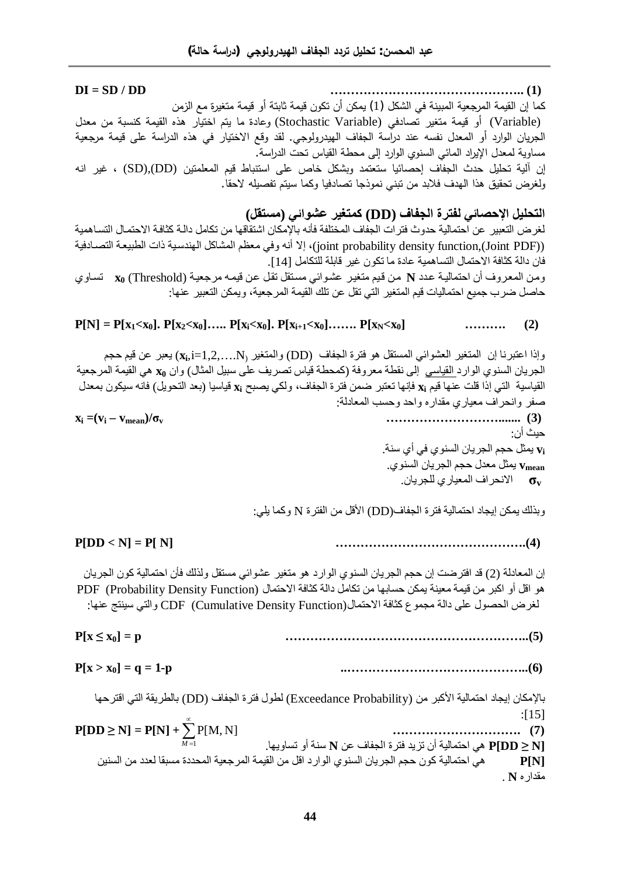**DI = SD / DD ……………………………………….. (1)** كما إن القيمة المرجعية المبينة في الشكل (1) يمكن أن تكون قيمة ثابتة أو قيمة متغيرة مع الزمن (Variable) أو قيمة متغير تصادفي (Stochastic Variable) وعادة ما يتم اختيار هذه القيمة كنسبة من معدل الجريان الوارد أو المعدل نفسه عند دراسة الجفاف الهيدرولوجي. لقد وقع الاختيار في هذه الدراسة على قيمة مرجعية مساوية لمعدل الإيراد المائي السنوي الوارد إلى محطة القياس تحت الدراسة. إن آلية تحليل حدث الجفاف إحصائيا ستعتمد وبشكل خاص على استتباط قيم المعلمتين (SD),(DD) ، غير انه ولغرض تحقيق هذا الهدف فلابد من تبني نموذجا تصادفيا وكما سيتم تفصيله لاحقا.

### التحليل الإحصائي لفترة الجفاف (DD) كمتغير عشوائي (مستقل)

لغر ض التعبير ٍ عن احتمالية حدوث فتر ات الجفاف المختلفة فأنه بالإمكان اشتقاقها من تكامل دالـة كثافـة الاحتمـال التسـاهمية (joint probability density function,(Joint PDF))) إلا أنه وفي معظم المشاكل الهندسية ذات الطبيعة التصـادفية فان دالة كثافة الاحتمال التساهمية عادة ما تكون غير قابلة للتكامل [14].

ومن المعروف أن احتمالية عدد N من قيم متغير عشوائي مستقل تقل عن قيمه مرجعية x<sub>0</sub> (Threshold) هي تساوي حاصل ضرب جميع احتماليات قيم المنغير التي نقل عن تلك القيمة المرجعية، ويمكن النعبير ِ عنها:

$$
P[N] = P[x_1 < x_0], P[x_2 < x_0], \dots, P[x_i < x_0], P[x_{i+1} < x_0], \dots, P[x_N < x_0]
$$
 \dots \dots \dots \dots \dots \dots \tag{2}

وإذا اعتبرنا إن المتغير العشوائي المستقل هو فترة الجفاف (DD) والمتغير <sub>(Xi,</sub>i=1,2,….N) يعبر عن قيم حجم الجريان السنوي الوارد القياسي إلى نقطة معروفة (كمحطة قياس تصريف على سبيل المثال) وان X<sub>0</sub> هي القيمة المرجعية القياسية التي إذا قلت عنها قيم <sub>Xi</sub> فإنها تعتبر ضمن فترة الجفاف، ولكي يصبح Xi قياسيا (بعد التحويل) فانه سيكون بمعدل صفر وانحراف معياري مقداره واحد وحسب المعادلة:  $\mathbf{x}_i = (\mathbf{v}_i - \mathbf{v}_{mean})/\sigma_v$  (3) حبث أن: .ΔϨγϱϲϓϱϮϨδϟϥΎϳήΠϟϢΠΣϞΜϤϳ **v<sup>i</sup>** .ϱϮϨδϟϥΎϳήΠϟϢΠΣϝΪόϣϞΜϤϳ **vmean** .ϥΎϳήΠϠϟϱέΎϴόϤϟϑήΤϧϻ **ı<sup>v</sup>**

وبذلك يمكن إيجاد احتمالية فترة الجفاف(DD) الأقل من الفترة N وكما يلي:

**P[DD < N] = P[ N] ……………………………………….(4)**

إن المعادلة (2) قد افترضت إن حجم الجريان السنوي الوارد هو متغير عشوائي مستقل ولذلك فأن احتمالية كون الجريان هو اقل أو اكبر من قيمة معينة يمكن حسابها من تكامل دالة كثافة الاحتمال (Probability Density Function) PDF :لغرض الحصول على دالة مجموع كثافة الاحتمال(CUmulative Density Function) والتي سينتج عنها

- **P[x x0] = p …………………………………………………..(5)**
- **P[x > x0] = q = 1-p ..……………………………………..(6)**

بالإمكان إيجاد احتمالية الأكبر من (Exceedance Probability) لطول فترة الجفاف (DD) بالطريقة التي اقترحها :[15]  $P[DD \ge N] = P[N] + \sum_{n=1}^{\infty}$  $=1$ P[M, N] *M*  **…………………………. (7)**  $\mathbf{P}[\mathbf{DD} \geq \mathbf{N}]$ هي احتمالية أن تزيد فتر ة الجفاف عن N سنة أو تساو بها  $P[N]$  هي احتمالية كون حجم الجريان السنوي الوارد اقل من القيمة المرجعية المحددة مسبقا لعدد من السنين مقدار ه **N**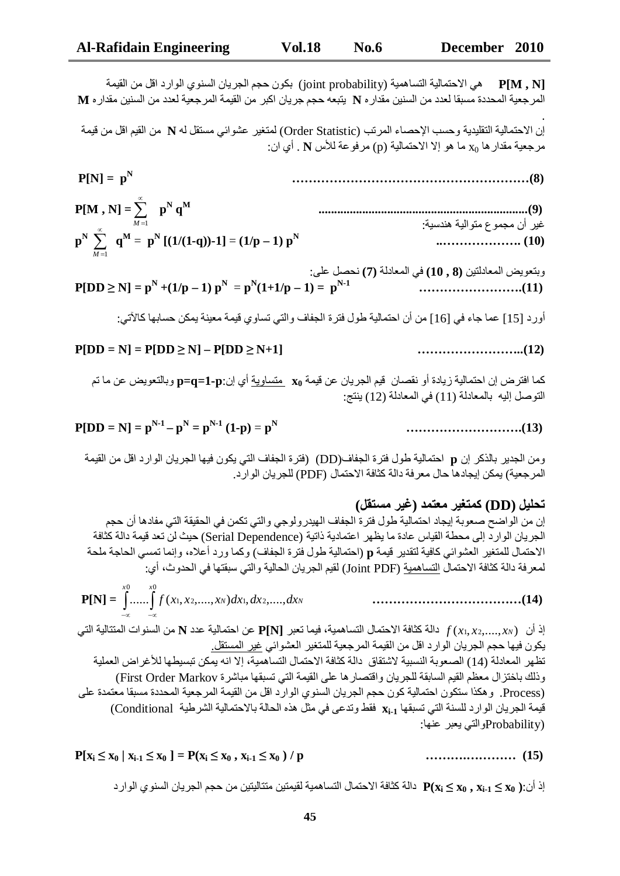.

 $M = 1$ 

 $\bf P[M,N]$ هي الاحتمالية التساهمية (joint probability) بكون حجم الجريان السنوي الوارد اقل من القيمة المرجعية المحددة مسبقا لعدد من السنين مقدار ه ∏ يتبعه حجم جريان اكبر من القيمة المرجعية لعدد من السنين مقدار ه M

إن الاحتمالية التقليدية وحسب الإحصـاء المرتب (Order Statistic) لمتغير عشوائـي مستقل له N من القيم اقل من قيمة مرجعية مقدار ها x<sub>0</sub> ما هو إلا الاحتمالية (p) مرفوعة للأس N . أي ان:

 $P[N] = p^N$  **…………………………………………………(8)**

 $P[M, N] = \sum^{\infty}$  $M = 1$  **p<sup>N</sup> q<sup>M</sup> ...................................................................(9)** غير أن مجمو ع متو الية هندسية:  $\mathbf{p}^{\mathbf{N}}$   $\sum^{\infty}$  $q^{\mathbf{M}} = \mathbf{p}^{\mathbf{N}}$  [(1/(1-q))-1] = (1/p – 1)  $\mathbf{p}^{\mathbf{N}}$ **..………………. (10)**

وبتعويض المعادلتين (8 , 10) في المعادلة (7) نحصل علي:  $P[DD \ge N] = p^N + (1/p - 1) p^N = p^N (1+1/p - 1) = p^{N-1}$  **………………………….**(11)

أورد [15] عما جاء في [16] من أن احتمالية طول فترة الجفاف والتي تساوي قيمة معينة يمكن حسابها كالآتي:

 $P[DD = N] = P[DD \ge N] - P[DD \ge N+1]$  …………………………..(12)

كما افترض إن احتمالية زيادة أو نقصان قيم الجريان عن قيمة x<sub>0</sub> متساوية أي إن:p=q=1-p وبالتعويض عن ما تم التوصل إليه بالمعادلة (11) في المعادلة (12) بنتج:

**P**[DD = N] =  $p^{N-1} - p^N = p^{N-1}$  (1-p) = p

ومن الجدير بالذكر إن p احتمالية طول فترة الجفاف(DD) (فترة الجفاف التي يكون فيها الجريان الوارد اقل من القيمة المرجعية) يمكن إيجادها حال معرفة دالة كثافة الاحتمال (PDF) للجريان الوارد.

## $\tilde{\textbf{C}}$  أصطليل (DD) كمتغير معتمد (غير مستقل

**<sup>N</sup> ……………………….(13)**

إن من الواضح صعوبة إيجاد احتمالية طول فترة الجفاف الهيدر ولوجي والتي تكمن في الحقيقة التي مفادها أن حجم الجريان الوارد إلى محطة القياس عادة ما يظهر اعتمادية ذاتية (Serial Dependence) حيث لن تعد قيمة دالة كثافة الاحتمال للمتغير العشوائي كافية لتقدير قيمة p (احتمالية طول فترة الجفاف) وكما ورد أعلاه، وإنما تمسى الحاجة ملحة لمعرفة دالة كثافة الاحتمال التساهمية (Joint PDF) لقيم الجريان الحالية والتي سبقتها في الحدوث، أي:

$$
P[N] = \int_{-\infty}^{x_0} \dots \int_{-\infty}^{x_0} f(x_1, x_2, \dots, x_N) dx_1, dx_2, \dots, dx_N
$$

ϲΘϟΔϴϟΎΘΘϤϟΕϮϨδϟϦϣ **N**ΩΪϋΔϴϟΎϤΘΣϦϋ **P[N]** ήΒόΗΎϤϴϓˬΔϴϤϫΎδΘϟϝΎϤΘΣϻΔϓΎΜϛΔϟΩ *f* (*x*1, *x*2,...., *xN*) ϥ Ϋ· يكون فيها حجم الجريان الوار د اقل من القيمة المرجعية للمتغير العشوائي غير المستقل. تظهر المعادلة (14) الصعوبة النسبية لاشتقاق دالة كثافة الاحتمال التساهمية، إلا انه يمكن تبسيطها للأغراض العملية وذلك باختز ال معظم القيم السابقة للجريان واقتصار ها على القيمة التي تسبقها مباشر ة First Order Markov) Process). وهكذا ستكون احتمالية كون حجم الجريان السنوي الوارد اقل من القيمة المرجعية المحددة مسبقا معتمدة على قيمة الجريان الوارد للسنة التي تسبقها 1.11 فقط وتدعى في مثل هذه الحالة بالاحتمالية الشرطية Conditional) :(Probability)و التي يعبر عنها

 $P[x_i \le x_0 | x_{i-1} \le x_0] = P(x_i \le x_0, x_{i-1} \le x_0) / p$  ………………………… (15)

 $\bf P(x_i \leq x_0, x_{i-1} \leq x_0)$ اذ أن: $\bf P(x_i \leq x_0, x_{i-1} \leq x_0)$  دالة كثافة الاحتمال التساهمية لقيمتين متتاليتين من حجم الجريان السنوي الوارد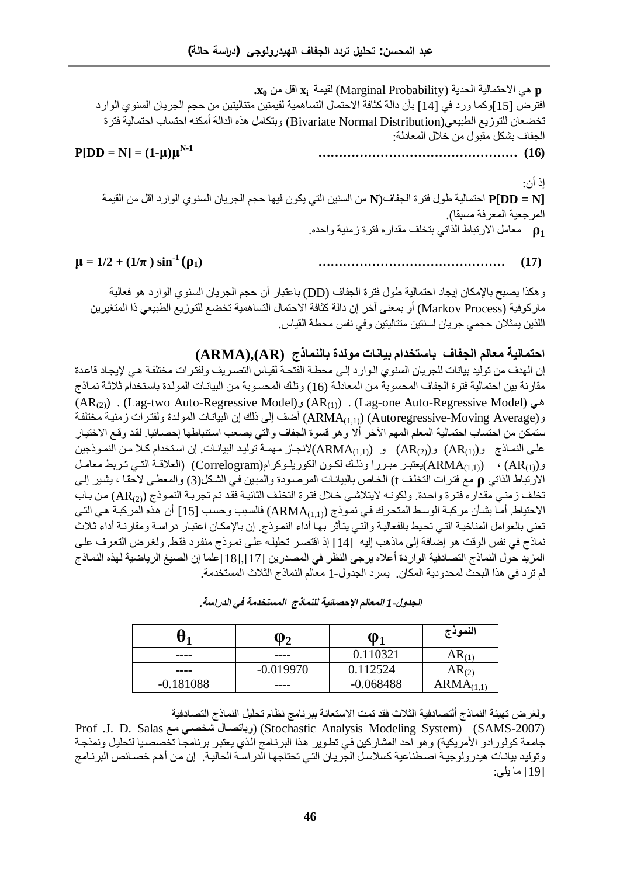**.x**<sub>0</sub> هي الاحتمالية الحدية (Marginal Probability) لقيمة  $\mathbf{y}$  اقل من  $\mathbf{p}$ افتر ض [15] وكما ورد في [14] بأن دالة كثافة الاحتمال التساهمية لقيمتين متتاليتين من حجم الجريان السنوي الوارد تخضعان للتوريع الطبيعي(Bivariate Normal Distribution) وبتكامل هذه الدالة أمكنه احتساب احتمالية فترة الجفاف بشكل مقبول من خلال المعادلة:  $P[DD = N] = (1-\mu)\mu^{N-1}$ **N-1 ………………………………………… (16)** اذ أن:  $\bf P[DD = N]$ احتمالية طول فترة الجفاف $\bf N$  من السنين التي يكون فيها حجم الجريان السنوي الوارد اقل من القيمة المرجعية المعرفة مسبقا). .ϩΪΣϭΔϴϨϣίΓήΘϓϩέΪϘϣϒϠΨΘΑϲΗάϟρΎΒΗέϻϞϣΎόϣ **ȡ<sup>1</sup> ȝ = 1/2 + (1/ʌ ) sin-1 (ȡ1) ……………………………………… (17)**

و هكذا يصبح بالإمكان إيجاد احتمالية طول فترة الجفاف (DD) باعتبار أن حجم الجريان السنوي الوارد هو فعالية ماركوفية (Markov Process) أو بمعنى آخر إن دالة كثافة الاحتمال التساهمية تخضع للتوزيع الطبيعي ذا المتغيرين اللذين يمثلان حجمي جر يان لسنتين متتاليتين وفي نفس محطة القياس.

# **(ARMA),(AR) ΝΫΎϤϨϟΎΑΓΪϟϮϣΕΎϧΎϴΑ ϡΪΨΘγΎΑ ϑΎϔΠϟ ϢϟΎόϣ ΔϴϟΎϤΘΣ**

إن الهدف من توليد بيانات للجريان السنوي الوارد إلى محطة الفتحة لقياس التصريف ولفترات مختلفة هي لإيجاد قاعدة مقارنة بين احتمالية فترة الجفاف المحسوبة من المعادلة (16) وتلك المحسوبة من البيانـات المولدة باستخدام ثلاثـة نمـاذج (AR<sub>(2)</sub>) . (Lag-two Auto-Regressive Model) و (AR<sub>(1)</sub>) . (Lag-one Auto-Regressive Model) . و (ARMA(1,1) (Autoregressive-Moving Average) أضف إلى ذلك إن البيانـات المولدة ولفترات زمنيـة مختلفـة ستمكن من احتساب احتمالية المعلم المهم الآخر ألا وهو قسوة الجفاف والتي يصعب استتباطها إحصـائيا. لقد وقـع الاختيار وه الله الله بن هوه الله علي الله علي الله علي الله علي الله علي الله علي الله علي الله عليه الله عليه الله علي و(ARMA(1,1) ، و(ARMA(1,1)) و (Correlogram) (العلاقة التي تربط معامل الارتباط الذاتي ρ مع فترات التخلف t) الخاص بالبيانات المرصودة والمبين في الشكل(3) والمعطي لاحقا ، يشير إلي تخلف زمني مقداره فترة واحدة. ولكونـه لايتلاشي خلال فترة التخلف الثانيـة فقد تم تجربـة النموذج (AR<sub>(2)</sub> من بـاب الاحتياط أما بشأن مركبة الوسط المتحرك في نموذج (ARMA<sub>(1.1)</sub> فالسبب وحسب [15] أن هذه المركبة هي التي تعني بالعوامل المناخية التي تحيط بالفعالية والتي يتأثر بها أداء النموذج. إن بالإمكان اعتبار دراسة ومقارنـة أداء ثلاث نماذج في نفس الوقت هو إضافة إلى ماذهب إليه [14] إذ اقتصر تحليله على نموذج منفرد فقط. ولغرض التعرف على المزيد حول النماذج التصادفية الواردة أعلاه يرجى النظر في المصدرين [17],[18]علما إن الصبغ الرياضية لهذه النمـاذج لم ترد في هذا البحث لمحدودية المكان. يسرد الجدول-1 معالم النماذج الثلاث المستخدمة.

|             | O2          | $\mathbf{0}$ <sub>1</sub> | النموذج    |  |
|-------------|-------------|---------------------------|------------|--|
| ----        | ----        | 0.110321                  |            |  |
| ----        | $-0.019970$ | 0.112524                  | $AR_{(2)}$ |  |
| $-0.181088$ | ----        | $-0.068488$               | ARMA       |  |

| الجدول- [ المعالم الإحصائية للنماذج  المستخدمة في الدراسة. |  |  |
|------------------------------------------------------------|--|--|
|------------------------------------------------------------|--|--|

ولغرض تهيئة النماذج ألتصادفية الثلاث فقد تمت الاستعانة ببرنامج نظام تحليل النماذج التصادفية Prof .J. D. Salas وباتصال شخصي مع (Stochastic Analysis Modeling System) (SAMS-2007) جامعة كولورادو الأمريكية) وهو احد المشاركين في تطوير هذا البرنـامج الذي يعتبر برنـامجـا تخصصـيا لتحليل ونمذجـة وتوليد بيانـات هيدرولوجيـة اصـطناعية كسلاسـل الجريـان التـي تحتاجهـا الدراسـة الحاليـة . إن مـن أهم خصـائص البرنـامج [19] ما يل*ي*: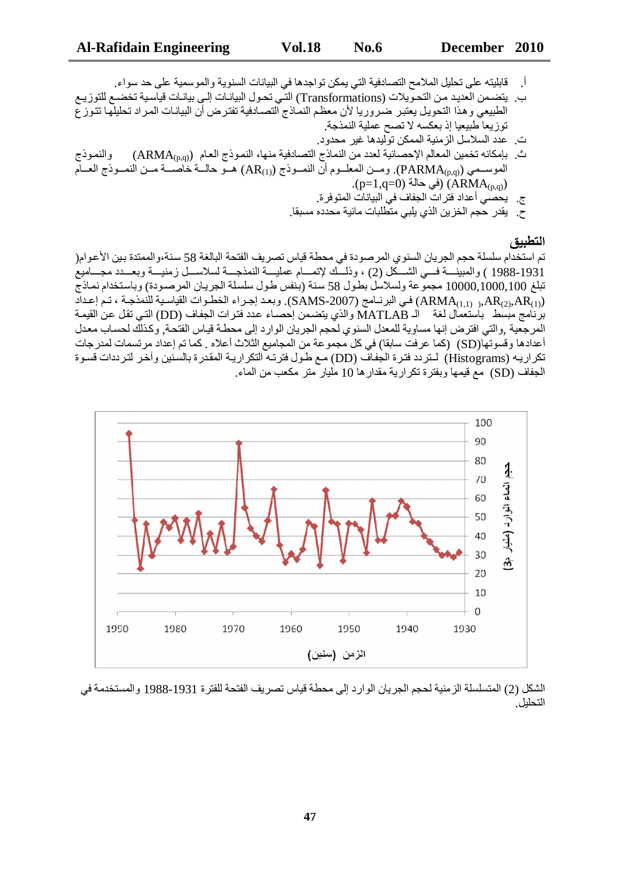- .˯ϮγΪΣϰϠϋΔϴϤγϮϤϟϭΔϳϮϨδϟΕΎϧΎϴΒϟϲϓΎϫΪΟϮΗϦϜϤϳϲΘϟΔϴϓΩΎμΘϟϣϼϤϟϞϴϠΤΗϰϠϋϪΘϴϠΑΎϗ .
- ب. يتضمن العديد من التحويلات (Transformations) التّي تحول البيانـات إلـي بيانـات قياسـية تخضـع للتوزيـع الطبيعي و هذا التحويل يعتبر ضروريا لأن معظم النمـاذج التصـادفية تفترض أن البيانـات المراد تحليلّها تتـوز ع توزيعا طبيعيا إذ بعكسه لا تصح عملية النمذجة.
	- ت. عدد السلاسل الزمنية الممكن توليدها غير محدود.
- ث. بإمكانه تخمين المعالم الإحصائية لعدد من النماذج التصادفية منها، النموذج العام (ARMA<sub>(p,q)</sub>) والنموذج الموسـمي (PARMA وAR). ومـن المعلـوم أن النمـوذج (AR(1)) هـو حالـة خَاصَــة مـن النمـوذج العــام (p .(p=1,q=0) (في حالة) $\widehat{(ARMA_{(p,q)})}$ 
	- ج. يحصي أعداد فترات الجفاف في البيانات المتوفرة.
	- ح. يقدر حجم الخزين الذي يلبي متطلبات مائية محدده مسبقا.

### ا**لتطبيق**

تم استخدام سلسلة حجم الجريان السنوي المرصودة في محطة قياس تصريف الفتحة البالغة 58 سنة،والممتدة بين الأعوام( و 1988-1931) و المبينــــة فــــى الشـــكل (2) ، و ذلـــك لإتمـــام عمليـــة النمذجـــة لسلاســـل ز منيـــة و بعـــدد مجــــاميـع تبلغ 10000,1000,100 مجموّعة ولسلاسُل بطول 58 سنة (بنفس طول سلسلة الجريان المرصودة) وباستخدام نمـاذجّ قي البرنـامج (2007-SAMS). وبعد إجراء الخطـوات القياسـية للنمذجـة ، تـم إعـداد (ARMA $_{(1,1)}$  ),AR $_{(2)}$ ,AR $_{(1)}$ ) برُنامج مُبِسِط بِاستَعْمَال لغة الـ MATLAB والذي يتضمن إحصـاء عدد فترات الجفاف (DD) التي تقل عن القيمة المرجعية ,والتي افترض إنها مساوية للمعدل السنوي لحجم الجريان الوارد إلى محطة قياس الفتحة, وكذلك لحساب معدل أعدادها وقسوتها(SD) (كما عرفت سابقا) في كل مجموعة من المجاميع الثلاث أعلاه . كما تم إعداد مرتسمات لمدرجات تكر اريه (Histograms) لـتر دد فترة الجفاف (DD) مع طول فترتـه التكر اريـة المقدرة بالسنين وآخر لتر ددات قسوة الجفاف (SD) مع قيمها وبفترة تكرارية مقدار ها 10 مليار متر مكعب من الماء.



الشكل (2) المتسلسلة الزمنية لحجم الجريان الوارد إلى محطة فياس تصريف الفتحة للفترة 1931-1988 والمستخدمة في التحليل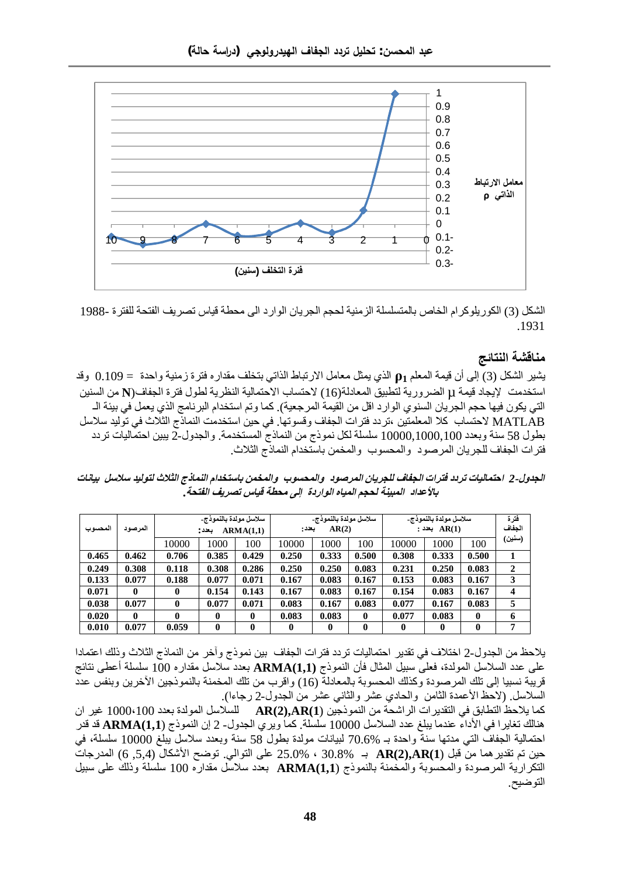

الشكل (3) الكوريلوكرام الخاص بالمتسلسلة الزمنية لحجم الجريان الوارد الى محطة قياس تصريف الفتحة للفترة -1988 .1931

#### مناقشة النتائج

يشير الشكل (3) إلى أن قيمة المعلم ρ<sub>1</sub> الذي يمثل معامل الارتباط الذاتي بتخلف مقداره فترة زمنية واحدة  $99\pm0.109$  وقد استخدمت لإيجاد قيمة μ الضرورية لتطبيق المعادلة(16) لاحتساب الاحتمالية النظرية لطول فترة الجفاف(N من السنين التي يكون فيها حجم الجريان السنوي الوارد اقل من القيمة المرجعية). كما وتم استخدام البرنامج الذي يعمل في بيئة الـ MATLAB لاحتساب كلا المعلمتين ،تردد فترات الجفاف وقسوتها. في حين استخدمت النماذج الثلاث في توليد سلاسل بطول 58 سنة وبعدد 1000,1000,000 .ملسلة لكل نموذج من النماذج المستخدمة. والجدول-2 يبين احتماليات تردد فترات الجفاف للجريان المرصود والمحسوب والمخمن باستخدام النماذج الثلاث.

 **ΕΎϧΎϴΑ ϞγϼγΪϴϟϮΘϟΙϼΜϟΝΫΎϤϨϟϡΪΨΘγΎΑϦϤΨϤϟϭ ΏϮδΤϤϟϭ ΩϮλήϤϟϥΎϳήΠϠϟϑΎϔΠϟΕήΘϓΩΩήΗΕΎϴϟΎϤΘΣ** *2***-ϝϭΪΠϟ** بالأعداد المبينة لحجم المياه الواردة إلى محطة قياس تصريف الفتحة.

|         | سلاسل مولدة بالنموذج۔ |       |                     | سلاسل مولدة بالنموذج۔ |                 |             | سلاسل مولدة بالنموذج- |               |       | فترة         |              |
|---------|-----------------------|-------|---------------------|-----------------------|-----------------|-------------|-----------------------|---------------|-------|--------------|--------------|
| المحسوب | المرصود               |       | ARMA(1,1)<br>بعدد : |                       | AR(2)<br>بعدد و |             |                       | : بعد $AR(1)$ |       |              | الحفاف       |
|         |                       | 10000 | 1000                | 100                   | 10000           | 1000        | 100                   | 10000         | 1000  | 100          | (سنين)       |
| 0.465   | 0.462                 | 0.706 | 0.385               | 0.429                 | 0.250           | 0.333       | 0.500                 | 0.308         | 0.333 | 0.500        |              |
| 0.249   | 0.308                 | 0.118 | 0.308               | 0.286                 | 0.250           | 0.250       | 0.083                 | 0.231         | 0.250 | 0.083        | $\mathbf{2}$ |
| 0.133   | 0.077                 | 0.188 | 0.077               | 0.071                 | 0.167           | 0.083       | 0.167                 | 0.153         | 0.083 | 0.167        | 3            |
| 0.071   | 0                     | 0     | 0.154               | 0.143                 | 0.167           | 0.083       | 0.167                 | 0.154         | 0.083 | 0.167        | 4            |
| 0.038   | 0.077                 | 0     | 0.077               | 0.071                 | 0.083           | 0.167       | 0.083                 | 0.077         | 0.167 | 0.083        | 5            |
| 0.020   | 0                     | 0     | 0                   | $\mathbf{0}$          | 0.083           | 0.083       | $\bf{0}$              | 0.077         | 0.083 | $\mathbf{0}$ | 6            |
| 0.010   | 0.077                 | 0.059 | 0                   | $\mathbf{0}$          | 0               | $\mathbf 0$ | $\mathbf{0}$          | 0             | 0     | 0            | 7            |

يلاحظ من الجدول-2 اختلاف في تقدير احتماليات تردد فترات الجفاف بين نموذج وأخر من النماذج الثلاث وذلك اعتمادا علمي عدد السلاسل المولدة، فعلميّ سبيل المثال فأن النموذج (ARMA(1,1) بعدد سلاسل مقداره 100 سلسلة أعطي نتائج قريبة نسبيا إلى تلك المرصودة وكذلك المحسوبة بالمعادلة (16) واقرب من تلك المخمنة بالنموذجين الأخرين وبنفس عدد السلاسل. (لاحظ الأعمدة الثامن والحادي عشر والثانبي عشر من الجدول-2 رجاءا).

كما يلاحظ التطابق في التقدير ات الراشحة من النموذجين (AR(1),AR(1 للسلاسل المولدة بعدد 1000،100 غير ان هنالك تغايرا في الأداء عندما يبلغ عدد السلاسل 10000 سلسلة. كما ويري الجدول- 2 إن النموذج (ARMA(1,1 قد قدر احتمالية الجفاف التبي مدتها سنة واحدة بـ %70.6 لبيانات مولدة بطول 58 سنة وبعدد سلاسل يبلغ 10000 سلسلة، في حين تم تقدير هما من قبل AR(2),AR(1 .c4 . 30.8% ، 30.8% على التوالي. توضح الأشكال (5,4, 6) المدرجات النكر ارية المرصودة والمحسوبة والمخمنة بالنموذج (ARMA(1,1 بعدد سلاسل مقداره 100 سلسلة وذلك على سبيل التوضيح.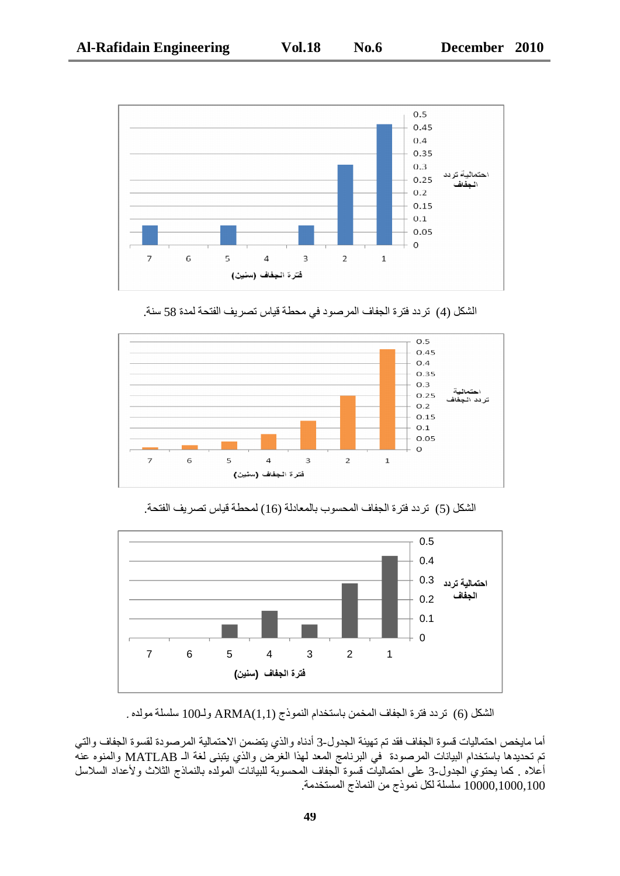

الشكل (4) .تر دد فتر ة الجفاف المر صود في محطة قياس تصر يف الفتحة لمدة 58 سنة.



الشكل (5) .تز دد فتر ة الجفاف المحسوب بالمعادلة (16) لمحطة قياس تصر يف الفتحة.



. الشكل (6) تردد فترة الجفاف المخمن باستخدام النموذج (ARMA(1,1) ولـ100 سلسلة مولده

أما مايخص احتماليات قسوة الجفاف فقد تم تهيئة الجدول-3 أدناه والذي يتضمن الاحتمالية المرصودة لقسوة الجفاف والتي تم تحديدها باستخدام البيانات المرصودة ۖ في البرنامج المعد لـهذا الغرَّض والذي بتبنى لغة الـ MATLAB والمنوه عنه أعلاه كما يحتوي الجدول-3 على احتماليات قسوة الجفاف المحسوبة للبيانات المولده بالنماذج الثلاث ولأعداد السلاسل .1000,1000,100 سلسلة لكل نموذج من النماذج المستخدمة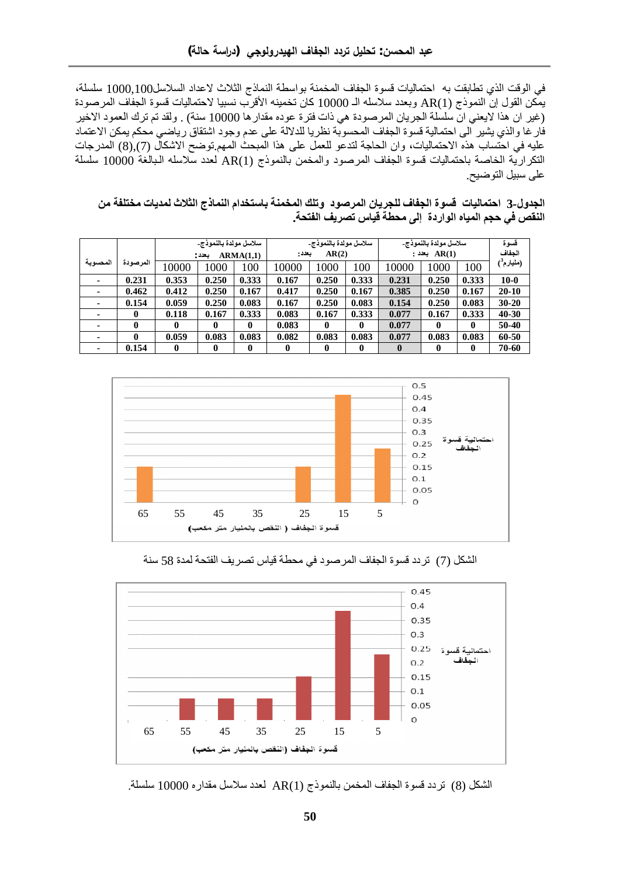في الوقت الذي تطابقت به احتماليات قسوة الجفاف المخمنة بواسطة النماذج الثلاث لاعداد السلاسل100,100 سلسلة، يمكن القول إن النموذج AR(1) وبعدد سلاسله الـ 10000 كان تخمينه الأقرب نسبيا لاحتماليات قسوة الجفاف المرصودة (غير ان هذا لايعني ان سلسلة الجريان المرصودة هي ذات فترة عوده مقدار ها 10000 سنة) . ولقد تم ترك العمود الاخير فار غا والذي يشير الى احتمالية قسوة الجفاف المحسوبة نظريا للدلالة على عدم وجود اشتقاق رياضي محكم يمكن الاعتماد طيه في احتساب هذه الاحتماليات، وان الحاجة لتدعو للعمل على هذا المبحث المهم توضح الاشكال (7),(8) المدرجات النكرارية الخاصة باحتماليات قسوة الجفاف المرصود والمخمن بالنموذج (AR(1 لعدد سلاسله الـبالغة 10000 سلسلة على سبيل التوضيح.

الجدول-3 احتماليات قسوة الجفاف للجريان المرصود وتلك المخمنة باستخدام النماذج الثلاث لمديات مختلفة من النقص في حجم المياه الواردة إلى محطة قياس تصريف الفتحة.

|                |          | سلاسل مولدة بالنموذج- |             |                 | سلاسل مولدة بالنموذج۔ |       |                | سلاسل مولدة بالنموذج- |       |        | قسوة           |
|----------------|----------|-----------------------|-------------|-----------------|-----------------------|-------|----------------|-----------------------|-------|--------|----------------|
|                |          | ARMA(1,1)<br>بعدد :   |             | AR(2)<br>بعدد و |                       |       | : بعدد $AR(1)$ |                       |       | الجفاف |                |
| المحسوبة       | المرصودة | 10000                 | 1000        | 100             | 10000                 | 1000  | 100            | 10000                 | 1000  | 100    | $(3)$ (مليارم) |
| ٠              | 0.231    | 0.353                 | 0.250       | 0.333           | 0.167                 | 0.250 | 0.333          | 0.231                 | 0.250 | 0.333  | $10-0$         |
|                | 0.462    | 0.412                 | 0.250       | 0.167           | 0.417                 | 0.250 | 0.167          | 0.385                 | 0.250 | 0.167  | $20 - 10$      |
| ٠              | 0.154    | 0.059                 | 0.250       | 0.083           | 0.167                 | 0.250 | 0.083          | 0.154                 | 0.250 | 0.083  | $30 - 20$      |
| ٠              | $\bf{0}$ | 0.118                 | 0.167       | 0.333           | 0.083                 | 0.167 | 0.333          | 0.077                 | 0.167 | 0.333  | $40 - 30$      |
| $\blacksquare$ | 0        | 0                     | 0           | $\mathbf{0}$    | 0.083                 | 0     | 0              | 0.077                 | 0     | 0      | 50-40          |
| ٠              | 0        | 0.059                 | 0.083       | 0.083           | 0.082                 | 0.083 | 0.083          | 0.077                 | 0.083 | 0.083  | 60-50          |
|                | 0.154    | 0                     | $\mathbf 0$ | $\mathbf{0}$    | 0                     | 0     | 0              | $\bf{0}$              | 0     | 0      | 70-60          |





الشكل (7) تردد قسوة الجفاف المرصود في محطة قياس تصريف الفتحة لمدة 58 سنة

الشكل (8) تردد قسوة الجفاف المخمن بالنموذج (AR(1 لعدد سلاسل مقداره 10000 سلسلة.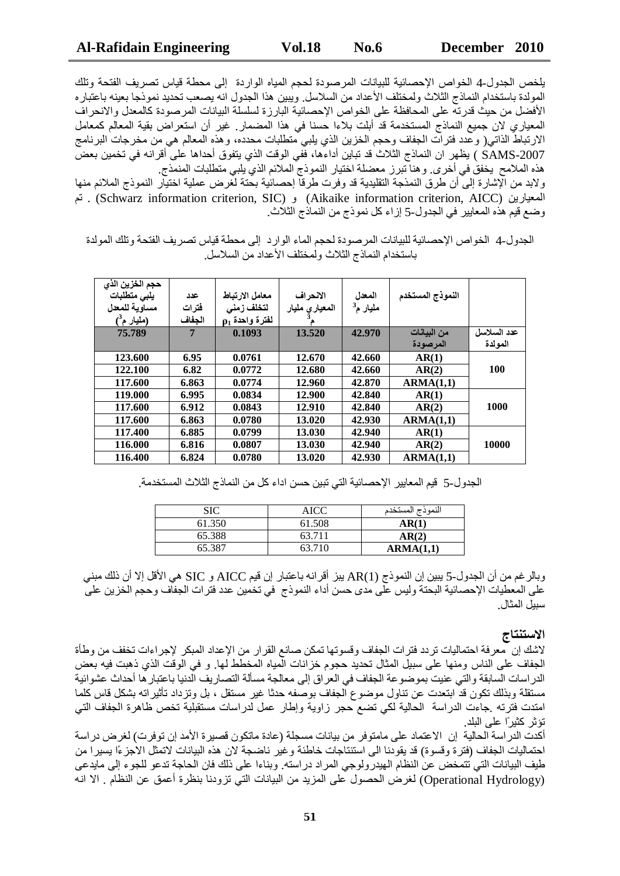يلخص الجدول-4 الخواص الإحصائية للبيانات المرصودة لحجم المياه الواردة إلى محطة قياس تصريف الفتحة وتلك المولدة باستخدام النماذج الثلاث ولمختلف الأعداد من السلاسل ويبين هذا الجدول انه يصعب تحديد نموذجا بعينه باعتبار ه الأفضل من حيث قدرته على المحافظة على الخواص الإحصائية البارزة لسلسلة البيانات المرصودة كالمعدل والانحراف المعياري لان جميع النماذج المستخدمة قد أبلت بلاءا حسنا في هذا المضمار . غير أن استعراض بقية المعالم كمعامل الارتباط الذاتي( وعدد فترات الجفاف وحجم الخزين الذي يلبي متطلبات محدده، وهذه المعالم هي من مخرجات البرنامج SAMS-2007 ) يظهر ان النماذج الثلاث قد تباين أداءها، ففي الوقت الذي يتفوق أحداها على أقرانه في تخمين بعض هذه الملامح يخفق في أخرى. و هنا تبرز معضلة اختيار النموذج الملائم الذي يلبي متطلبات المنمذج. ولابد من الإشارة إلى أن طرق النمذجة التقليدية قد وفرت طرقا إحصائية بحتة لغرض عملية اختيار النموذج الملائم منها المعيارين (Schwarz information criterion, SIC) و (Schwarz information criterion, SIC) . تم

وضع قيم هذه المعايير في الجدول-5 إزاء كل نموذج من النماذج الثلاث.

|             | النموذج المستخدم | المعدل<br>مليار م <sup>3</sup> | الانحراف<br>المعيار ي مليار | معامل الارتباط<br>لتخلف زمنى<br>$\rho_1$ لفترة واحدة | عدد<br>فترات<br>الجفاف | حجم الخزين الذي<br>يلبي متطلبات<br>مساوية للمعدل<br>$(3)$ مليار م $(3)$ |
|-------------|------------------|--------------------------------|-----------------------------|------------------------------------------------------|------------------------|-------------------------------------------------------------------------|
| عدد السلاسل | من البيانات      | 42.970                         | 13.520                      | 0.1093                                               | 7                      | 75.789                                                                  |
| المولدة     | المرصودة         |                                |                             |                                                      |                        |                                                                         |
|             | AR(1)            | 42.660                         | 12.670                      | 0.0761                                               | 6.95                   | 123.600                                                                 |
| <b>100</b>  | AR(2)            | 42.660                         | 12.680                      | 0.0772                                               | 6.82                   | 122.100                                                                 |
|             | ARMA(1,1)        | 42.870                         | 12.960                      | 0.0774                                               | 6.863                  | 117.600                                                                 |
|             | AR(1)            | 42.840                         | 12.900                      | 0.0834                                               | 6.995                  | 119.000                                                                 |
| 1000        | AR(2)            | 42.840                         | 12.910                      | 0.0843                                               | 6.912                  | 117.600                                                                 |
|             | ARMA(1,1)        | 42.930                         | 13.020                      | 0.0780                                               | 6.863                  | 117.600                                                                 |
|             | AR(1)            | 42.940                         | 13.030                      | 0.0799                                               | 6.885                  | 117.400                                                                 |
| 10000       | AR(2)            | 42.940                         | 13.030                      | 0.0807                                               | 6.816                  | 116.000                                                                 |
|             | ARMA(1.1)        | 42.930                         | 13.020                      | 0.0780                                               | 6.824                  | 116.400                                                                 |

الجدول-4 الخواص الإحصائية للبيانات المرصودة لحجم الماء الوارد إلى محطة فياس تصريف الفتحة وتلك المولدة باستخدام النماذج الثلاث ولمختلف الأعداد من السلاسل

الجدول-5 قيم المعايير الإحصائية التي تبين حسن اداء كل من النماذج الثلاث المستخدمة.

| SIC    | AICC   | النموذج المستخدم |
|--------|--------|------------------|
| 61.350 | 61.508 | AR(1)            |
| 65.388 | 63.711 | AR(2)            |
| 65.387 | 63.710 | ARMA(1.1)        |

وبالر غم من أن الجدول-5 ببين إن النموذج (AR(1) بيز أقر انه باعتبار إن قيم AICC و SIC هي الأقل إلا أن ذلك مبني على المعطيات الإحصائية البحتة وليس على مدى حسن أداء النموذج في تخمين عدد فتر ات الجفاف وحجم الخزين على سببل المثال.

### الاستنتاج

لاشك إن ۖ معرفة احتماليات تردد فترات الجفاف وقسوتها تمكن صانع القرار من الإعداد المبكر لإجراءات تخفف من وطأة الجفاف على الناس ومنها على سبيل المثال تحديد حجوم خزانات المياه المخطط لها. و في الوقت الذي ذهبت فيه بعض الدر اسات السابقة والتي عنيت بموضوعة الجفاف في العراق إلى معالجة مسألة التصاريف الدنيا باعتبار ها أحداث عشوائية مستقلة وبذلك تكون قد ابتعدت عن تناول موضوع الجفاف بوصفه حدثا غير مستقل ، بل وتزداد تأثيراته بشكل قاس كلما امتدت فترته جاءت الدراسة الحالية لكي تضع حجر زاوية وإطار عمل لدراسات مستقبلية تخص ظاهرة الجفاف التبي تؤثر كثيرًا على البلد.

أكدت الدر اسة الحالية إن الاعتماد على مامتوفر من بيانات مسجلة (عادة ماتكون قصيرة الأمد إن توفرت) لغرض در اسة احتماليات الجفاف (فترة وقسوة) قد يقودنا الى استنتاجات خاطئة وغير ناضجة لان هذه البيانات لاتمثل الاجزءًا يسيرا من طيف البيانات التي تتمخض عن النظام الهيدر ولوجي المراد دراسته. وبناءا على ذلك فان الحاجة تدعو للجوء إلى مايدعى (Operational Hydrology) لغرض الحصول على المزيد من البيانات التي تزودنا بنظرة أعمق عن النظام . الا انه